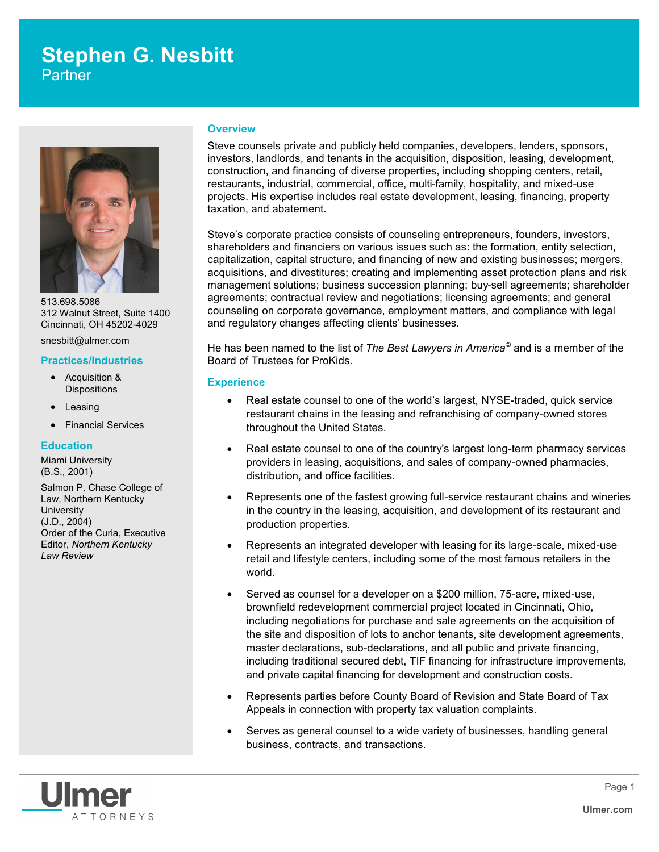# **Stephen G. Nesbitt**

**Partner** 



513.698.5086 312 Walnut Street, Suite 1400 Cincinnati, OH 45202-4029

snesbitt@ulmer.com

## **Practices/Industries**

- Acquisition & **Dispositions**
- Leasing
- Financial Services

## **Education**

Miami University (B.S., 2001)

Salmon P. Chase College of Law, Northern Kentucky **University** (J.D., 2004) Order of the Curia, Executive Editor, *Northern Kentucky Law Review*

#### **Overview**

Steve counsels private and publicly held companies, developers, lenders, sponsors, investors, landlords, and tenants in the acquisition, disposition, leasing, development, construction, and financing of diverse properties, including shopping centers, retail, restaurants, industrial, commercial, office, multi-family, hospitality, and mixed-use projects. His expertise includes real estate development, leasing, financing, property taxation, and abatement.

Steve's corporate practice consists of counseling entrepreneurs, founders, investors, shareholders and financiers on various issues such as: the formation, entity selection, capitalization, capital structure, and financing of new and existing businesses; mergers, acquisitions, and divestitures; creating and implementing asset protection plans and risk management solutions; business succession planning; buy-sell agreements; shareholder agreements; contractual review and negotiations; licensing agreements; and general counseling on corporate governance, employment matters, and compliance with legal and regulatory changes affecting clients' businesses.

He has been named to the list of *The Best Lawyers in America©* and is a member of the Board of Trustees for ProKids.

## **Experience**

- Real estate counsel to one of the world's largest, NYSE-traded, quick service restaurant chains in the leasing and refranchising of company-owned stores throughout the United States.
- Real estate counsel to one of the country's largest long-term pharmacy services providers in leasing, acquisitions, and sales of company-owned pharmacies, distribution, and office facilities.
- Represents one of the fastest growing full-service restaurant chains and wineries in the country in the leasing, acquisition, and development of its restaurant and production properties.
- Represents an integrated developer with leasing for its large-scale, mixed-use retail and lifestyle centers, including some of the most famous retailers in the world.
- Served as counsel for a developer on a \$200 million, 75-acre, mixed-use, brownfield redevelopment commercial project located in Cincinnati, Ohio, including negotiations for purchase and sale agreements on the acquisition of the site and disposition of lots to anchor tenants, site development agreements, master declarations, sub-declarations, and all public and private financing, including traditional secured debt, TIF financing for infrastructure improvements, and private capital financing for development and construction costs.
- Represents parties before County Board of Revision and State Board of Tax Appeals in connection with property tax valuation complaints.
- Serves as general counsel to a wide variety of businesses, handling general business, contracts, and transactions.